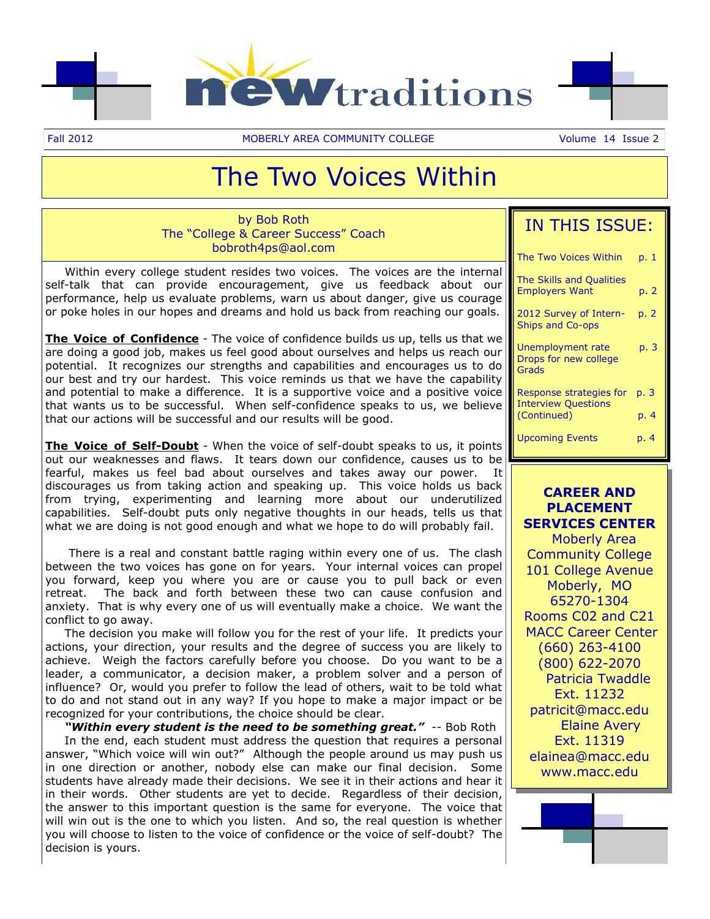



Fall 2012 **MOBERLY AREA COMMUNITY COLLEGE** Volume 14 Issue 2

## The Two Voices Within

by Bob Roth The "College & Career Success" Coach bobroth4ps@aol.com

 Within every college student resides two voices. The voices are the internal self-talk that can provide encouragement, give us feedback about our performance, help us evaluate problems, warn us about danger, give us courage or poke holes in our hopes and dreams and hold us back from reaching our goals.

**The Voice of Confidence** - The voice of confidence builds us up, tells us that we are doing a good job, makes us feel good about ourselves and helps us reach our potential. It recognizes our strengths and capabilities and encourages us to do our best and try our hardest. This voice reminds us that we have the capability and potential to make a difference. It is a supportive voice and a positive voice that wants us to be successful. When self-confidence speaks to us, we believe that our actions will be successful and our results will be good.

**The Voice of Self-Doubt** - When the voice of self-doubt speaks to us, it points out our weaknesses and flaws. It tears down our confidence, causes us to be fearful, makes us feel bad about ourselves and takes away our power. It discourages us from taking action and speaking up. This voice holds us back from trying, experimenting and learning more about our underutilized capabilities. Self-doubt puts only negative thoughts in our heads, tells us that what we are doing is not good enough and what we hope to do will probably fail.

 There is a real and constant battle raging within every one of us. The clash between the two voices has gone on for years. Your internal voices can propel you forward, keep you where you are or cause you to pull back or even retreat. The back and forth between these two can cause confusion and anxiety. That is why every one of us will eventually make a choice. We want the conflict to go away.

 The decision you make will follow you for the rest of your life. It predicts your actions, your direction, your results and the degree of success you are likely to achieve. Weigh the factors carefully before you choose. Do you want to be a leader, a communicator, a decision maker, a problem solver and a person of influence? Or, would you prefer to follow the lead of others, wait to be told what to do and not stand out in any way? If you hope to make a major impact or be recognized for your contributions, the choice should be clear.

 *"Within every student is the need to be something great."* -- Bob Roth In the end, each student must address the question that requires a personal answer, "Which voice will win out?" Although the people around us may push us in one direction or another, nobody else can make our final decision. Some students have already made their decisions. We see it in their actions and hear it in their words. Other students are yet to decide. Regardless of their decision, the answer to this important question is the same for everyone. The voice that will win out is the one to which you listen. And so, the real question is whether you will choose to listen to the voice of confidence or the voice of self-doubt? The decision is yours.

| IN THIS ISSUE:                                        |      |
|-------------------------------------------------------|------|
| The Two Voices Within                                 | p. 1 |
| The Skills and Qualities<br><b>Employers Want</b>     | p. 2 |
| 2012 Survey of Intern-<br>Ships and Co-ops            | p. 2 |
| Unemployment rate<br>Drops for new college<br>Grads   | p. 3 |
| Response strategies for<br><b>Interview Questions</b> | p. 3 |
| (Continued)                                           | p. 4 |
| <b>Upcoming Events</b>                                | p. 4 |

**CAREER AND PLACEMENT SERVICES CENTER** Moberly Area Community College 101 College Avenue Moberly, MO 65270-1304 Rooms C02 and C21 MACC Career Center (660) 263-4100 (800) 622-2070 Patricia Twaddle Ext. 11232 patricit@macc.edu Elaine Avery Ext. 11319 elainea@macc.edu www.macc.edu

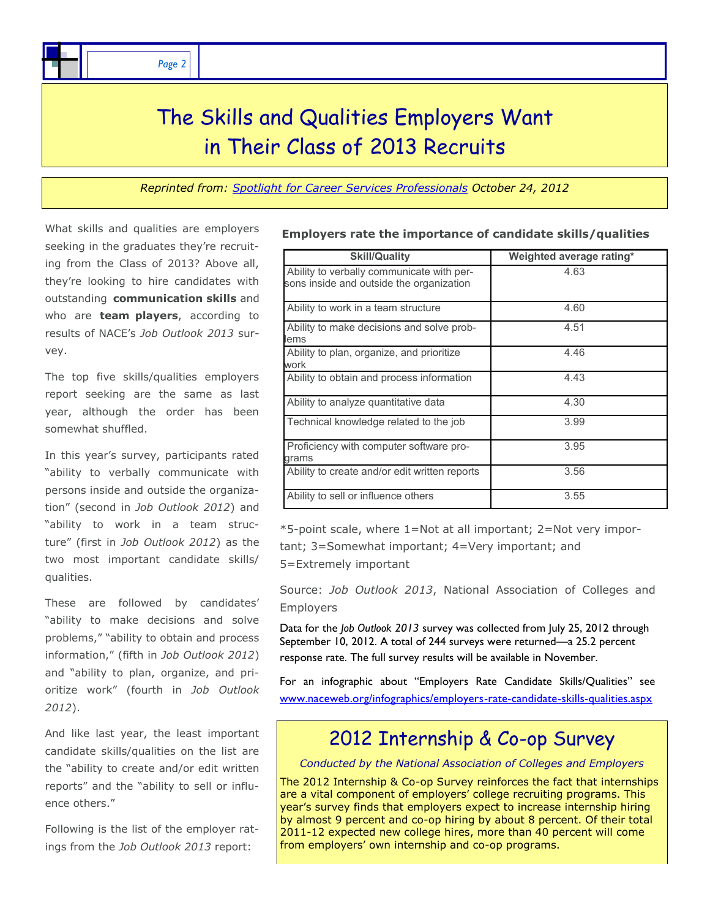*Page 2*

### The Skills and Qualities Employers Want in Their Class of 2013 Recruits

*Reprinted from: [Spotlight for Career Services Professionals](http://www.naceweb.org/spotlightonline/) October 24, 2012* 

What skills and qualities are employers seeking in the graduates they're recruiting from the Class of 2013? Above all, they're looking to hire candidates with outstanding **communication skills** and who are **team players**, according to results of NACE's *Job Outlook 2013* survey.

The top five skills/qualities employers report seeking are the same as last year, although the order has been somewhat shuffled.

In this year's survey, participants rated "ability to verbally communicate with persons inside and outside the organization" (second in *Job Outlook 2012*) and "ability to work in a team structure" (first in *Job Outlook 2012*) as the two most important candidate skills/ qualities.

These are followed by candidates' "ability to make decisions and solve problems," "ability to obtain and process information," (fifth in *Job Outlook 2012*) and "ability to plan, organize, and prioritize work" (fourth in *Job Outlook 2012*).

And like last year, the least important candidate skills/qualities on the list are the "ability to create and/or edit written reports" and the "ability to sell or influence others."

Following is the list of the employer ratings from the *Job Outlook 2013* report:

| <b>Skill/Quality</b>                                                                  | Weighted average rating* |
|---------------------------------------------------------------------------------------|--------------------------|
| Ability to verbally communicate with per-<br>sons inside and outside the organization | 4.63                     |
| Ability to work in a team structure                                                   | 4.60                     |
| Ability to make decisions and solve prob-<br>lems                                     | 4.51                     |
| Ability to plan, organize, and prioritize<br>work                                     | 4.46                     |
| Ability to obtain and process information                                             | 4.43                     |
| Ability to analyze quantitative data                                                  | 4.30                     |
| Technical knowledge related to the job                                                | 3.99                     |
| Proficiency with computer software pro-<br>grams                                      | 3.95                     |
| Ability to create and/or edit written reports                                         | 3.56                     |
| Ability to sell or influence others                                                   | 3.55                     |

**Employers rate the importance of candidate skills/qualities**

\*5-point scale, where 1=Not at all important; 2=Not very important; 3=Somewhat important; 4=Very important; and 5=Extremely important

Source: *Job Outlook 2013*, National Association of Colleges and Employers

Data for the *Job Outlook 2013* survey was collected from July 25, 2012 through September 10, 2012. A total of 244 surveys were returned—a 25.2 percent response rate. The full survey results will be available in November.

For an infographic about "Employers Rate Candidate Skills/Qualities" see [www.naceweb.org/infographics/employers-rate-candidate-skills-qualities.aspx](http://www.naceweb.org/infographics/employers-rate-candidate-skills-qualities.aspx)

### 2012 Internship & Co-op Survey

*Conducted by the National Association of Colleges and Employers* 

The 2012 Internship & Co-op Survey reinforces the fact that internships are a vital component of employers' college recruiting programs. This year's survey finds that employers expect to increase internship hiring by almost 9 percent and co-op hiring by about 8 percent. Of their total 2011-12 expected new college hires, more than 40 percent will come from employers' own internship and co-op programs.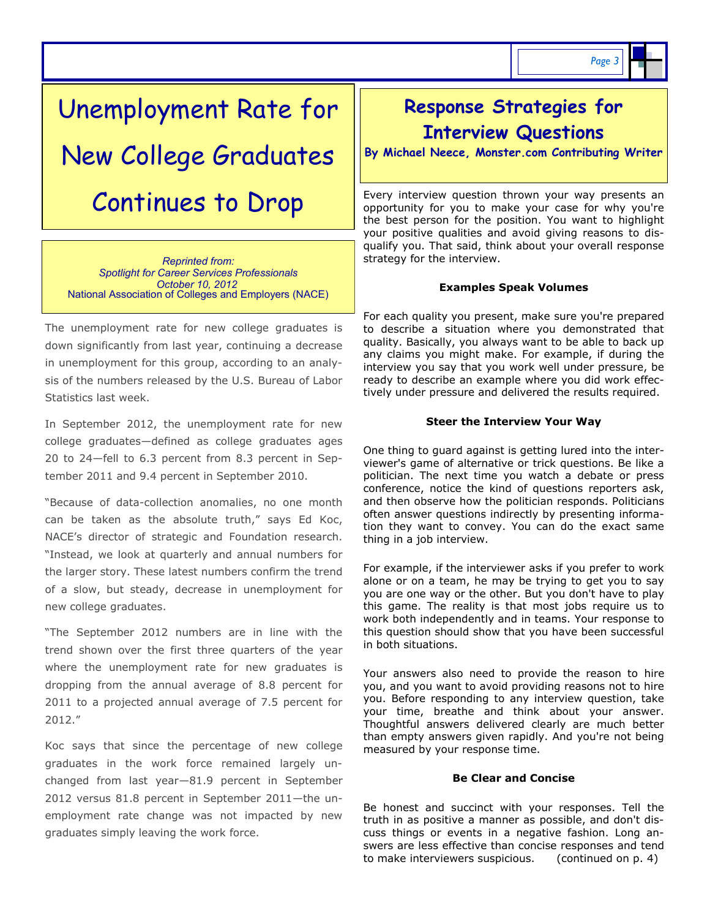# Unemployment Rate for New College Graduates Continues to Drop

*Reprinted from: [Spotlight for Career Services Professionals](http://www.naceweb.org/spotlightonline/) October 10, 2012* National Association of Colleges and Employers (NACE)

The unemployment rate for new college graduates is down significantly from last year, continuing a decrease in unemployment for this group, according to an analysis of the numbers released by the U.S. Bureau of Labor Statistics last week.

In September 2012, the unemployment rate for new college graduates—defined as college graduates ages 20 to 24—fell to 6.3 percent from 8.3 percent in September 2011 and 9.4 percent in September 2010.

"Because of data-collection anomalies, no one month can be taken as the absolute truth," says Ed Koc, NACE's director of strategic and Foundation research. "Instead, we look at quarterly and annual numbers for the larger story. These latest numbers confirm the trend of a slow, but steady, decrease in unemployment for new college graduates.

"The September 2012 numbers are in line with the trend shown over the first three quarters of the year where the unemployment rate for new graduates is dropping from the annual average of 8.8 percent for 2011 to a projected annual average of 7.5 percent for 2012."

Koc says that since the percentage of new college graduates in the work force remained largely unchanged from last year—81.9 percent in September 2012 versus 81.8 percent in September 2011—the unemployment rate change was not impacted by new graduates simply leaving the work force.

### **Response Strategies for Interview Questions**

**By Michael Neece, Monster.com Contributing Writer**

Every [interview question](http://career-advice.monster.com/job-interview/interview-questions/100-Potential-Interview-Questions/article.aspx) thrown your way presents an opportunity for you to make your case for why you're the best person for the position. You want to highlight your positive qualities and avoid giving reasons to disqualify you. That said, think about your overall response strategy for the interview.

#### **Examples Speak Volumes**

For each quality you present, make sure you're prepared to describe a situation where you demonstrated that quality. Basically, you always want to be able to back up any claims you might make. For example, if during the interview you say that you work well under pressure, be ready to describe an example where you did work effectively under pressure and delivered the results required.

#### **Steer the Interview Your Way**

One thing to guard against is getting lured into the interviewer's game of alternative or trick questions. Be like a politician. The next time you watch a debate or press conference, notice the kind of questions reporters ask, and then observe how the politician responds. Politicians often answer questions indirectly by presenting information they want to convey. You can do the exact same thing in a job interview.

For example, if the interviewer asks if you prefer to work alone or on a team, he may be trying to get you to say you are one way or the other. But you don't have to play this game. The reality is that most jobs require us to work both independently and in teams. Your response to this question should show that you have been successful in both situations.

Your answers also need to provide the reason to [hire](http://career-advice.monster.com/job-interview/interview-questions/why-should-we-hire-you/article.aspx)  [you,](http://career-advice.monster.com/job-interview/interview-questions/why-should-we-hire-you/article.aspx) and you want to avoid providing reasons not to hire you. Before responding to any interview question, take your time, breathe and think about your answer. Thoughtful answers delivered clearly are much better than empty answers given rapidly. And you're not being measured by your response time.

#### **Be Clear and Concise**

Be honest and succinct with your responses. Tell the truth in as positive a manner as possible, and don't discuss things or events in a negative fashion. Long answers are less effective than concise responses and tend to make interviewers suspicious. (continued on p. 4)